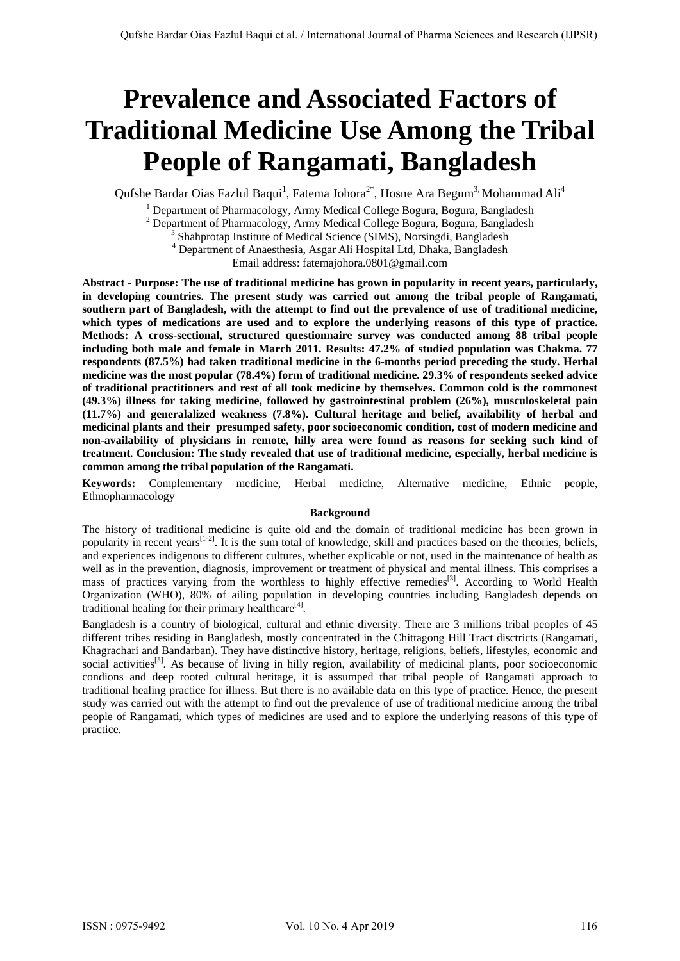# **Prevalence and Associated Factors of Traditional Medicine Use Among the Tribal People of Rangamati, Bangladesh**

Qufshe Bardar Oias Fazlul Baqui<sup>1</sup>, Fatema Johora<sup>2\*</sup>, Hosne Ara Begum<sup>3,</sup> Mohammad Ali<sup>4</sup>

<sup>1</sup> Department of Pharmacology, Army Medical College Bogura, Bogura, Bangladesh

<sup>2</sup> Department of Pharmacology, Army Medical College Bogura, Bogura, Bangladesh  $\frac{3}{2}$  Shehmsten Institute of Medical Science (SIMS). Norsing di Bongladesh

<sup>3</sup> Shahprotap Institute of Medical Science (SIMS), Norsingdi, Bangladesh

<sup>4</sup> Department of Anaesthesia, Asgar Ali Hospital Ltd, Dhaka, Bangladesh

Email address: fatemajohora.0801@gmail.com

**Abstract - Purpose: The use of traditional medicine has grown in popularity in recent years, particularly, in developing countries. The present study was carried out among the tribal people of Rangamati, southern part of Bangladesh, with the attempt to find out the prevalence of use of traditional medicine, which types of medications are used and to explore the underlying reasons of this type of practice. Methods: A cross-sectional, structured questionnaire survey was conducted among 88 tribal people including both male and female in March 2011. Results: 47.2% of studied population was Chakma. 77 respondents (87.5%) had taken traditional medicine in the 6-months period preceding the study. Herbal medicine was the most popular (78.4%) form of traditional medicine. 29.3% of respondents seeked advice of traditional practitioners and rest of all took medicine by themselves. Common cold is the commonest (49.3%) illness for taking medicine, followed by gastrointestinal problem (26%), musculoskeletal pain (11.7%) and generalalized weakness (7.8%). Cultural heritage and belief, availability of herbal and medicinal plants and their presumped safety, poor socioeconomic condition, cost of modern medicine and non-availability of physicians in remote, hilly area were found as reasons for seeking such kind of treatment. Conclusion: The study revealed that use of traditional medicine, especially, herbal medicine is common among the tribal population of the Rangamati.** 

**Keywords:** Complementary medicine, Herbal medicine, Alternative medicine, Ethnic people, Ethnopharmacology

## **Background**

The history of traditional medicine is quite old and the domain of traditional medicine has been grown in popularity in recent years $\left[1-2\right]$ . It is the sum total of knowledge, skill and practices based on the theories, beliefs, and experiences indigenous to different cultures, whether explicable or not, used in the maintenance of health as well as in the prevention, diagnosis, improvement or treatment of physical and mental illness. This comprises a mass of practices varying from the worthless to highly effective remedies<sup>[3]</sup>. According to World Health Organization (WHO), 80% of ailing population in developing countries including Bangladesh depends on traditional healing for their primary healthcare<sup>[4]</sup>.

Bangladesh is a country of biological, cultural and ethnic diversity. There are 3 millions tribal peoples of 45 different tribes residing in Bangladesh, mostly concentrated in the Chittagong Hill Tract disctricts (Rangamati, Khagrachari and Bandarban). They have distinctive history, heritage, religions, beliefs, lifestyles, economic and social activities<sup>[5]</sup>. As because of living in hilly region, availability of medicinal plants, poor socioeconomic condions and deep rooted cultural heritage, it is assumped that tribal people of Rangamati approach to traditional healing practice for illness. But there is no available data on this type of practice. Hence, the present study was carried out with the attempt to find out the prevalence of use of traditional medicine among the tribal people of Rangamati, which types of medicines are used and to explore the underlying reasons of this type of practice.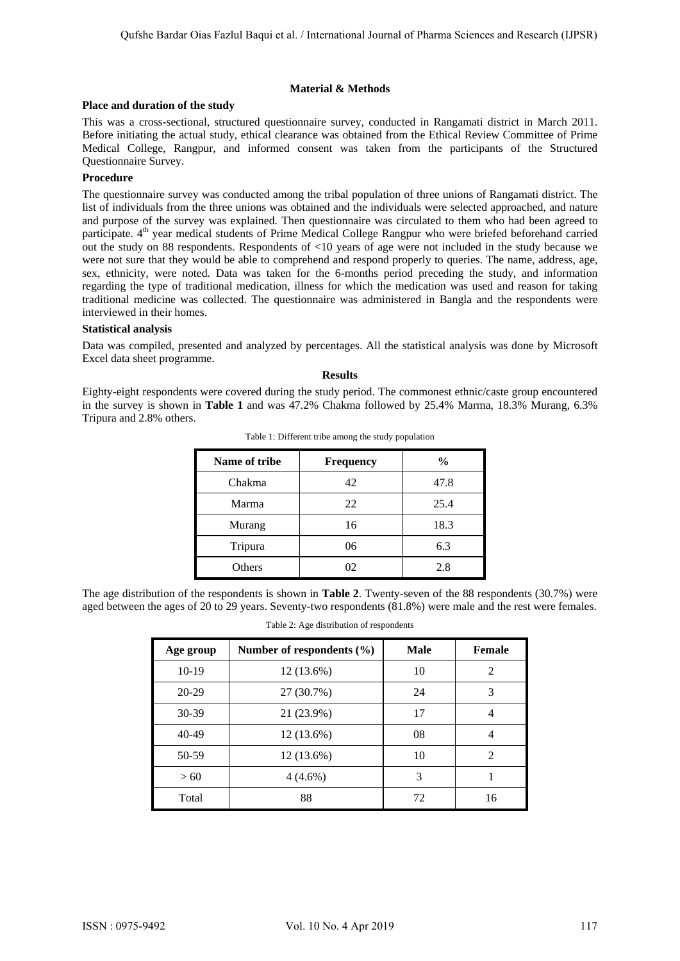## **Material & Methods**

# **Place and duration of the study**

This was a cross-sectional, structured questionnaire survey, conducted in Rangamati district in March 2011. Before initiating the actual study, ethical clearance was obtained from the Ethical Review Committee of Prime Medical College, Rangpur, and informed consent was taken from the participants of the Structured Questionnaire Survey.

# **Procedure**

The questionnaire survey was conducted among the tribal population of three unions of Rangamati district. The list of individuals from the three unions was obtained and the individuals were selected approached, and nature and purpose of the survey was explained. Then questionnaire was circulated to them who had been agreed to participate.  $4<sup>th</sup>$  year medical students of Prime Medical College Rangpur who were briefed beforehand carried out the study on 88 respondents. Respondents of <10 years of age were not included in the study because we were not sure that they would be able to comprehend and respond properly to queries. The name, address, age, sex, ethnicity, were noted. Data was taken for the 6-months period preceding the study, and information regarding the type of traditional medication, illness for which the medication was used and reason for taking traditional medicine was collected. The questionnaire was administered in Bangla and the respondents were interviewed in their homes.

## **Statistical analysis**

Data was compiled, presented and analyzed by percentages. All the statistical analysis was done by Microsoft Excel data sheet programme.

#### **Results**

Eighty-eight respondents were covered during the study period. The commonest ethnic/caste group encountered in the survey is shown in **Table 1** and was 47.2% Chakma followed by 25.4% Marma, 18.3% Murang, 6.3% Tripura and 2.8% others.

| Name of tribe | Frequency | $\frac{0}{0}$ |
|---------------|-----------|---------------|
| Chakma        | 42        | 47.8          |
| Marma         | 22        | 25.4          |
| Murang        | 16        | 18.3          |
| Tripura       | 06        | 6.3           |
| Others        | 02        | 2.8           |

Table 1: Different tribe among the study population

The age distribution of the respondents is shown in **Table 2**. Twenty-seven of the 88 respondents (30.7%) were aged between the ages of 20 to 29 years. Seventy-two respondents (81.8%) were male and the rest were females.

|  |  | Table 2: Age distribution of respondents |
|--|--|------------------------------------------|
|--|--|------------------------------------------|

| Age group | Number of respondents $(\% )$ | Male | <b>Female</b> |
|-----------|-------------------------------|------|---------------|
| $10-19$   | $12(13.6\%)$                  | 10   | 2             |
| $20 - 29$ | 27 (30.7%)                    | 24   | 3             |
| 30-39     | 21 (23.9%)                    | 17   | 4             |
| 40-49     | 12 (13.6%)                    | 08   | 4             |
| 50-59     | $12(13.6\%)$                  | 10   | $\mathcal{L}$ |
| >60       | $4(4.6\%)$                    | 3    |               |
| Total     | 88                            | 72   | 16            |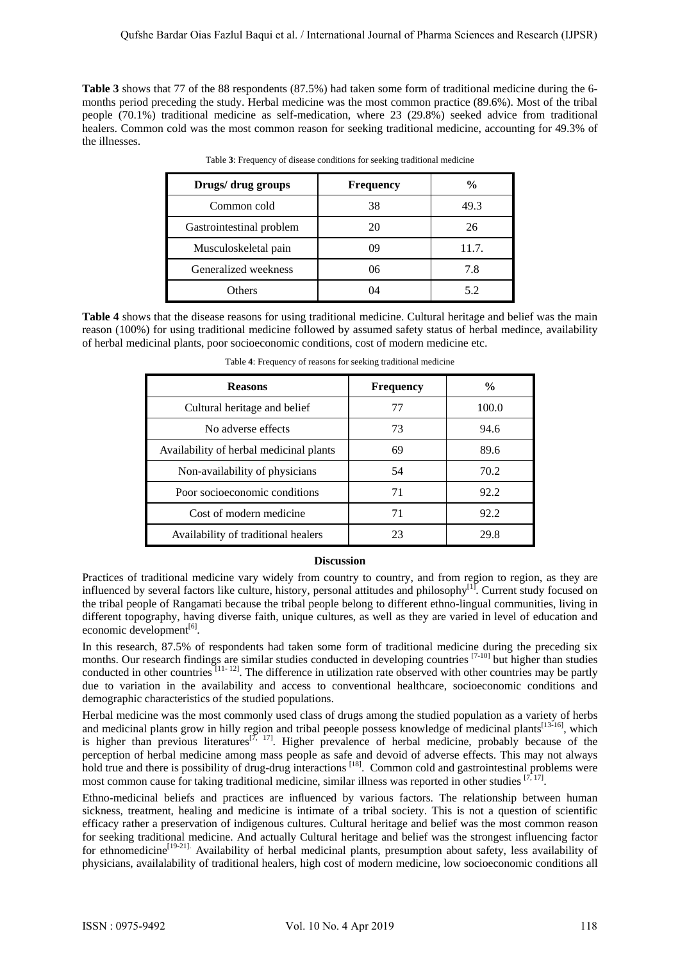**Table 3** shows that 77 of the 88 respondents (87.5%) had taken some form of traditional medicine during the 6 months period preceding the study. Herbal medicine was the most common practice (89.6%). Most of the tribal people (70.1%) traditional medicine as self-medication, where 23 (29.8%) seeked advice from traditional healers. Common cold was the most common reason for seeking traditional medicine, accounting for 49.3% of the illnesses.

| Drugs/ drug groups       | <b>Frequency</b> | $\frac{0}{0}$ |
|--------------------------|------------------|---------------|
| Common cold              | 38               | 49.3          |
| Gastrointestinal problem | 20               | 26            |
| Musculoskeletal pain     | 09               | 11.7.         |
| Generalized weekness     | 06               | 7.8           |
| Others                   | 11               |               |

Table **3**: Frequency of disease conditions for seeking traditional medicine

**Table 4** shows that the disease reasons for using traditional medicine. Cultural heritage and belief was the main reason (100%) for using traditional medicine followed by assumed safety status of herbal medince, availability of herbal medicinal plants, poor socioeconomic conditions, cost of modern medicine etc.

| <b>Reasons</b>                          | <b>Frequency</b> | $\frac{0}{0}$ |
|-----------------------------------------|------------------|---------------|
| Cultural heritage and belief            | 77               | 100.0         |
| No adverse effects                      | 73               | 94.6          |
| Availability of herbal medicinal plants | 69               | 89.6          |
| Non-availability of physicians          | 54               | 70.2          |
| Poor socioeconomic conditions           | 71               | 92.2          |
| Cost of modern medicine                 | 71               | 92.2          |
| Availability of traditional healers     | 23               | 29.8          |

Table **4**: Frequency of reasons for seeking traditional medicine

# **Discussion**

Practices of traditional medicine vary widely from country to country, and from region to region, as they are influenced by several factors like culture, history, personal attitudes and philosophy<sup>[1]</sup>. Current study focused on the tribal people of Rangamati because the tribal people belong to different ethno-lingual communities, living in different topography, having diverse faith, unique cultures, as well as they are varied in level of education and economic development $[6]$ .

In this research, 87.5% of respondents had taken some form of traditional medicine during the preceding six months. Our research findings are similar studies conducted in developing countries  $[7-10]$  but higher than studies conducted in other countries  $\tilde{[11-12]}$ . The difference in utilization rate observed with other countries may be partly due to variation in the availability and access to conventional healthcare, socioeconomic conditions and demographic characteristics of the studied populations.

Herbal medicine was the most commonly used class of drugs among the studied population as a variety of herbs and medicinal plants grow in hilly region and tribal peeople possess knowledge of medicinal plants<sup>[13-16]</sup>, which is higher than previous literatures<sup>[7, 17]</sup>. Higher prevalence of herbal medicine, probably because of the perception of herbal medicine among mass people as safe and devoid of adverse effects. This may not always hold true and there is possibility of drug-drug interactions <sup>[18]</sup>. Common cold and gastrointestinal problems were most common cause for taking traditional medicine, similar illness was reported in other studies [7, 17].

Ethno-medicinal beliefs and practices are influenced by various factors. The relationship between human sickness, treatment, healing and medicine is intimate of a tribal society. This is not a question of scientific efficacy rather a preservation of indigenous cultures. Cultural heritage and belief was the most common reason for seeking traditional medicine. And actually Cultural heritage and belief was the strongest influencing factor for ethnomedicine<sup>[19-21].</sup> Availability of herbal medicinal plants, presumption about safety, less availability of physicians, availalability of traditional healers, high cost of modern medicine, low socioeconomic conditions all